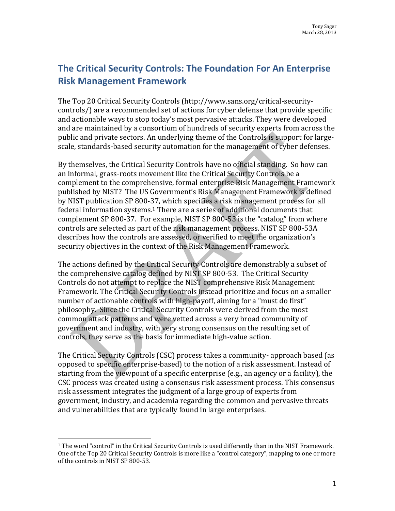## **The Critical Security Controls: The Foundation For An Enterprise Risk Management Framework**

The Top 20 Critical Security Controls (http://www.sans.org/critical-securitycontrols/) are a recommended set of actions for cyber defense that provide specific and actionable ways to stop today's most pervasive attacks. They were developed and are maintained by a consortium of hundreds of security experts from across the public and private sectors. An underlying theme of the Controls is support for largescale, standards-based security automation for the management of cyber defenses.

By themselves, the Critical Security Controls have no official standing. So how can an informal, grass-roots movement like the Critical Security Controls be a complement to the comprehensive, formal enterprise Risk Management Framework published by NIST? The US Government's Risk Management Framework is defined by NIST publication SP 800-37, which specifies a risk management process for all federal information systems.1 There are a series of additional documents that complement SP 800-37. For example, NIST SP 800-53 is the "catalog" from where controls are selected as part of the risk management process. NIST SP 800-53A describes how the controls are assessed, or verified to meet the organization's security objectives in the context of the Risk Management Framework.

The actions defined by the Critical Security Controls are demonstrably a subset of the comprehensive catalog defined by NIST SP 800-53. The Critical Security Controls do not attempt to replace the NIST comprehensive Risk Management Framework. The Critical Security Controls instead prioritize and focus on a smaller number of actionable controls with high-payoff, aiming for a "must do first" philosophy. Since the Critical Security Controls were derived from the most common attack patterns and were vetted across a very broad community of government and industry, with very strong consensus on the resulting set of controls, they serve as the basis for immediate high-value action.

The Critical Security Controls (CSC) process takes a community- approach based (as opposed to specific enterprise-based) to the notion of a risk assessment. Instead of starting from the viewpoint of a specific enterprise (e.g., an agency or a facility), the CSC process was created using a consensus risk assessment process. This consensus risk assessment integrates the judgment of a large group of experts from government, industry, and academia regarding the common and pervasive threats and vulnerabilities that are typically found in large enterprises.

<sup>1</sup> The word "control" in the Critical Security Controls is used differently than in the NIST Framework. One of the Top 20 Critical Security Controls is more like a "control category", mapping to one or more of the controls in NIST SP 800-53. i<br>I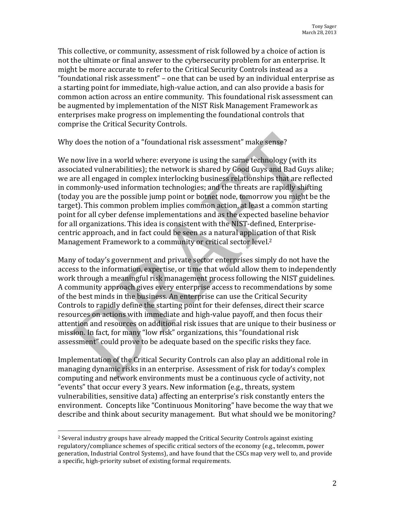This collective, or community, assessment of risk followed by a choice of action is not the ultimate or final answer to the cybersecurity problem for an enterprise. It might be more accurate to refer to the Critical Security Controls instead as a "foundational risk assessment" – one that can be used by an individual enterprise as a starting point for immediate, high-value action, and can also provide a basis for common action across an entire community. This foundational risk assessment can be augmented by implementation of the NIST Risk Management Framework as enterprises make progress on implementing the foundational controls that comprise the Critical Security Controls.

## Why does the notion of a "foundational risk assessment" make sense?

We now live in a world where: everyone is using the same technology (with its associated vulnerabilities); the network is shared by Good Guys and Bad Guys alike; we are all engaged in complex interlocking business relationships that are reflected in commonly-used information technologies; and the threats are rapidly shifting (today you are the possible jump point or botnet node, tomorrow you might be the target). This common problem implies common action, at least a common starting point for all cyber defense implementations and as the expected baseline behavior for all organizations. This idea is consistent with the NIST-defined, Enterprisecentric approach, and in fact could be seen as a natural application of that Risk Management Framework to a community or critical sector level.2

Many of today's government and private sector enterprises simply do not have the access to the information, expertise, or time that would allow them to independently work through a meaningful risk management process following the NIST guidelines. A community approach gives every enterprise access to recommendations by some of the best minds in the business. An enterprise can use the Critical Security Controls to rapidly define the starting point for their defenses, direct their scarce resources on actions with immediate and high-value payoff, and then focus their attention and resources on additional risk issues that are unique to their business or mission. In fact, for many "low risk" organizations, this "foundational risk assessment" could prove to be adequate based on the specific risks they face.

Implementation of the Critical Security Controls can also play an additional role in managing dynamic risks in an enterprise. Assessment of risk for today's complex computing and network environments must be a continuous cycle of activity, not "events" that occur every 3 years. New information (e.g., threats, system vulnerabilities, sensitive data) affecting an enterprise's risk constantly enters the environment. Concepts like "Continuous Monitoring" have become the way that we describe and think about security management. But what should we be monitoring?

<sup>2</sup> Several industry groups have already mapped the Critical Security Controls against existing regulatory/compliance schemes of specific critical sectors of the economy (e.g., telecomm, power generation, Industrial Control Systems), and have found that the CSCs map very well to, and provide a specific, high-priority subset of existing formal requirements. I